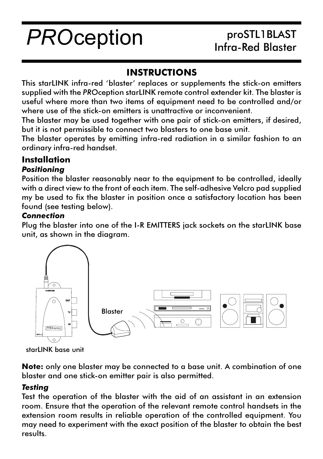# **PROception**

## proSTL1BLAST Infra-Red Blaster

### **INSTRUCTIONS**

This starLINK infra-red 'blaster' replaces or supplements the stick-on emitters supplied with the PROception starLINK remote control extender kit. The blaster is useful where more than two items of equipment need to be controlled and/or where use of the stick-on emitters is unattractive or inconvenient.

The blaster may be used together with one pair of stick-on emitters, if desired, but it is not permissible to connect two blasters to one base unit.

The blaster operates by emitting infra-red radiation in a similar fashion to an ordinary infra-red handset.

# Installation

#### **Positionina**

Position the blaster reasonably near to the equipment to be controlled, ideally with a direct view to the front of each item. The self-adhesive Velcro pad supplied my be used to fix the blaster in position once a satisfactory location has been found (see testing below).

#### **Connection**

Plug the blaster into one of the I-R EMITTERS jack sockets on the starLINK base unit, as shown in the diagram.



starLINK base unit

**Note:** only one blaster may be connected to a base unit. A combination of one blaster and one stick-on emitter pair is also permitted.

#### **Testing**

Test the operation of the blaster with the aid of an assistant in an extension room. Ensure that the operation of the relevant remote control handsets in the extension room results in reliable operation of the controlled equipment. You may need to experiment with the exact position of the blaster to obtain the best results.